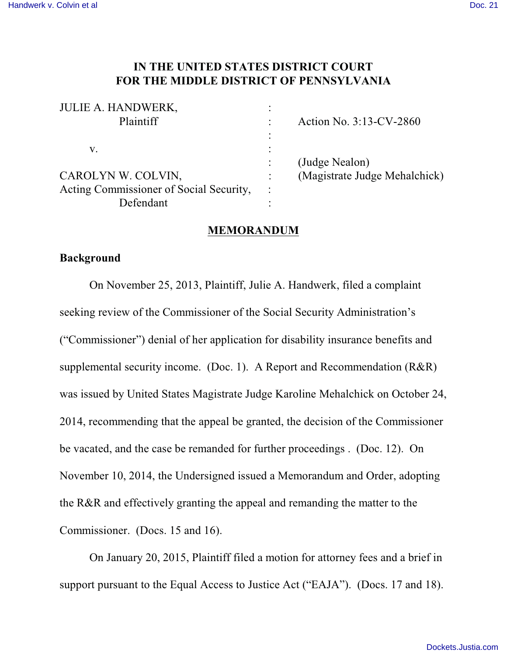# **IN THE UNITED STATES DISTRICT COURT FOR THE MIDDLE DISTRICT OF PENNSYLVANIA**

| <b>JULIE A. HANDWERK,</b>               | $\bullet$<br>٠ |                               |
|-----------------------------------------|----------------|-------------------------------|
| Plaintiff                               |                | Action No. 3:13-CV-2860       |
|                                         | $\bullet$      |                               |
| V.                                      |                |                               |
|                                         |                | (Judge Nealon)                |
| CAROLYN W. COLVIN,                      |                | (Magistrate Judge Mehalchick) |
| Acting Commissioner of Social Security, | $\ddot{\cdot}$ |                               |
| Defendant                               |                |                               |

### **MEMORANDUM**

## **Background**

On November 25, 2013, Plaintiff, Julie A. Handwerk, filed a complaint seeking review of the Commissioner of the Social Security Administration's ("Commissioner") denial of her application for disability insurance benefits and supplemental security income. (Doc. 1). A Report and Recommendation (R&R) was issued by United States Magistrate Judge Karoline Mehalchick on October 24, 2014, recommending that the appeal be granted, the decision of the Commissioner be vacated, and the case be remanded for further proceedings . (Doc. 12). On November 10, 2014, the Undersigned issued a Memorandum and Order, adopting the R&R and effectively granting the appeal and remanding the matter to the Commissioner. (Docs. 15 and 16).

On January 20, 2015, Plaintiff filed a motion for attorney fees and a brief in support pursuant to the Equal Access to Justice Act ("EAJA"). (Docs. 17 and 18).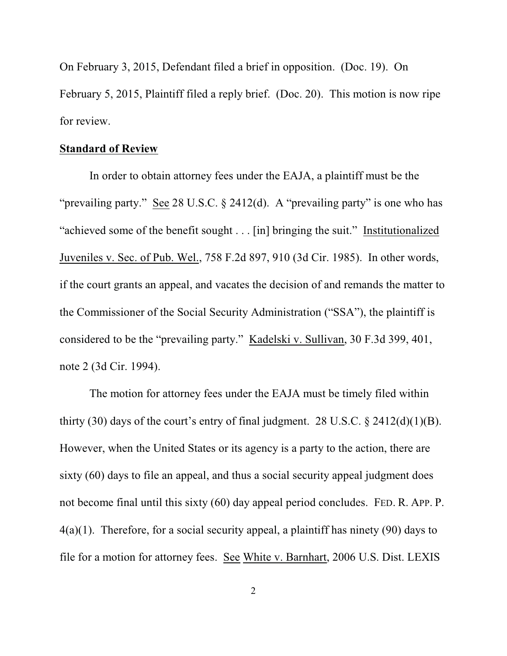On February 3, 2015, Defendant filed a brief in opposition. (Doc. 19). On February 5, 2015, Plaintiff filed a reply brief. (Doc. 20). This motion is now ripe for review.

### **Standard of Review**

In order to obtain attorney fees under the EAJA, a plaintiff must be the "prevailing party." See 28 U.S.C. § 2412(d). A "prevailing party" is one who has "achieved some of the benefit sought . . . [in] bringing the suit." Institutionalized Juveniles v. Sec. of Pub. Wel., 758 F.2d 897, 910 (3d Cir. 1985). In other words, if the court grants an appeal, and vacates the decision of and remands the matter to the Commissioner of the Social Security Administration ("SSA"), the plaintiff is considered to be the "prevailing party." Kadelski v. Sullivan, 30 F.3d 399, 401, note 2 (3d Cir. 1994).

The motion for attorney fees under the EAJA must be timely filed within thirty (30) days of the court's entry of final judgment. 28 U.S.C.  $\S$  2412(d)(1)(B). However, when the United States or its agency is a party to the action, there are sixty (60) days to file an appeal, and thus a social security appeal judgment does not become final until this sixty (60) day appeal period concludes. FED. R. APP. P. 4(a)(1). Therefore, for a social security appeal, a plaintiff has ninety (90) days to file for a motion for attorney fees. See White v. Barnhart, 2006 U.S. Dist. LEXIS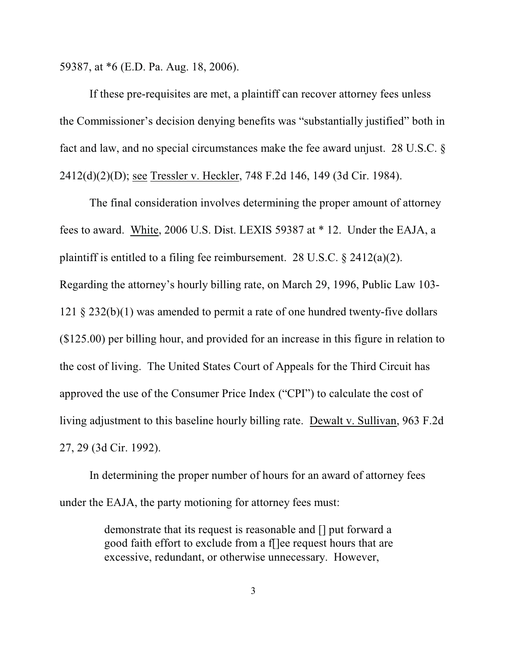59387, at \*6 (E.D. Pa. Aug. 18, 2006).

If these pre-requisites are met, a plaintiff can recover attorney fees unless the Commissioner's decision denying benefits was "substantially justified" both in fact and law, and no special circumstances make the fee award unjust. 28 U.S.C. § 2412(d)(2)(D); see Tressler v. Heckler, 748 F.2d 146, 149 (3d Cir. 1984).

The final consideration involves determining the proper amount of attorney fees to award. White, 2006 U.S. Dist. LEXIS 59387 at \* 12. Under the EAJA, a plaintiff is entitled to a filing fee reimbursement. 28 U.S.C.  $\&$  2412(a)(2). Regarding the attorney's hourly billing rate, on March 29, 1996, Public Law 103- 121 § 232(b)(1) was amended to permit a rate of one hundred twenty-five dollars (\$125.00) per billing hour, and provided for an increase in this figure in relation to the cost of living. The United States Court of Appeals for the Third Circuit has approved the use of the Consumer Price Index ("CPI") to calculate the cost of living adjustment to this baseline hourly billing rate. Dewalt v. Sullivan, 963 F.2d 27, 29 (3d Cir. 1992).

In determining the proper number of hours for an award of attorney fees under the EAJA, the party motioning for attorney fees must:

> demonstrate that its request is reasonable and [] put forward a good faith effort to exclude from a f[]ee request hours that are excessive, redundant, or otherwise unnecessary. However,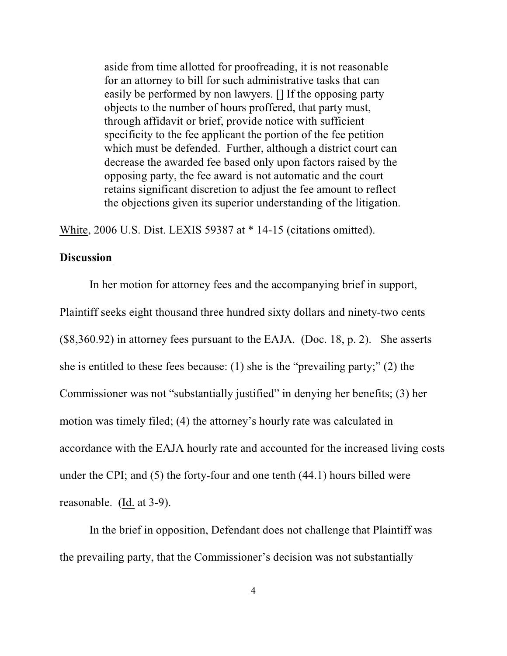aside from time allotted for proofreading, it is not reasonable for an attorney to bill for such administrative tasks that can easily be performed by non lawyers. [] If the opposing party objects to the number of hours proffered, that party must, through affidavit or brief, provide notice with sufficient specificity to the fee applicant the portion of the fee petition which must be defended. Further, although a district court can decrease the awarded fee based only upon factors raised by the opposing party, the fee award is not automatic and the court retains significant discretion to adjust the fee amount to reflect the objections given its superior understanding of the litigation.

White, 2006 U.S. Dist. LEXIS 59387 at \* 14-15 (citations omitted).

### **Discussion**

In her motion for attorney fees and the accompanying brief in support, Plaintiff seeks eight thousand three hundred sixty dollars and ninety-two cents (\$8,360.92) in attorney fees pursuant to the EAJA. (Doc. 18, p. 2). She asserts she is entitled to these fees because: (1) she is the "prevailing party;" (2) the Commissioner was not "substantially justified" in denying her benefits; (3) her motion was timely filed; (4) the attorney's hourly rate was calculated in accordance with the EAJA hourly rate and accounted for the increased living costs under the CPI; and (5) the forty-four and one tenth (44.1) hours billed were reasonable. (Id. at 3-9).

In the brief in opposition, Defendant does not challenge that Plaintiff was the prevailing party, that the Commissioner's decision was not substantially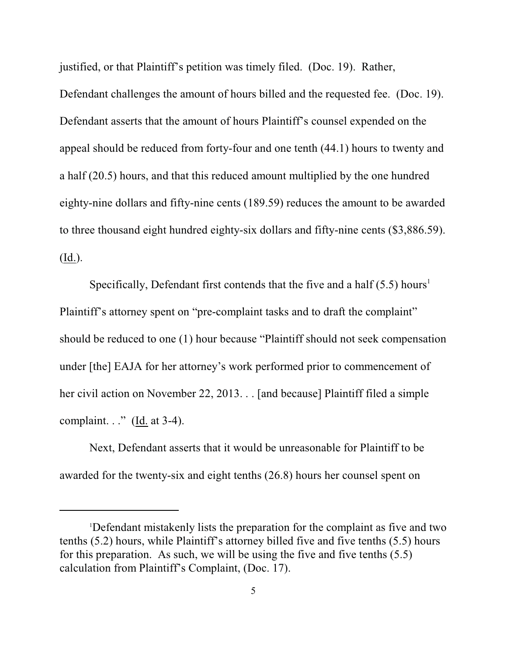justified, or that Plaintiff's petition was timely filed. (Doc. 19). Rather,

Defendant challenges the amount of hours billed and the requested fee. (Doc. 19). Defendant asserts that the amount of hours Plaintiff's counsel expended on the appeal should be reduced from forty-four and one tenth (44.1) hours to twenty and a half (20.5) hours, and that this reduced amount multiplied by the one hundred eighty-nine dollars and fifty-nine cents (189.59) reduces the amount to be awarded to three thousand eight hundred eighty-six dollars and fifty-nine cents (\$3,886.59). (Id.).

Specifically, Defendant first contends that the five and a half  $(5.5)$  hours<sup>1</sup> Plaintiff's attorney spent on "pre-complaint tasks and to draft the complaint" should be reduced to one (1) hour because "Plaintiff should not seek compensation under [the] EAJA for her attorney's work performed prior to commencement of her civil action on November 22, 2013. . . [and because] Plaintiff filed a simple complaint. . ." (Id. at 3-4).

Next, Defendant asserts that it would be unreasonable for Plaintiff to be awarded for the twenty-six and eight tenths (26.8) hours her counsel spent on

<sup>1</sup>Defendant mistakenly lists the preparation for the complaint as five and two tenths (5.2) hours, while Plaintiff's attorney billed five and five tenths (5.5) hours for this preparation. As such, we will be using the five and five tenths (5.5) calculation from Plaintiff's Complaint, (Doc. 17).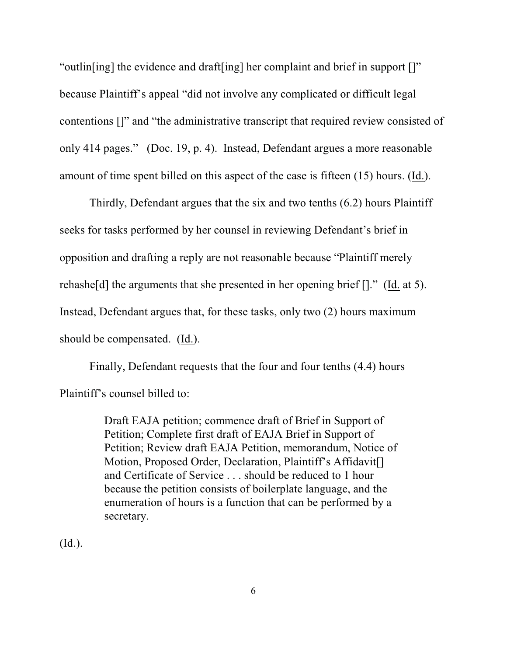"outlin[ing] the evidence and draft[ing] her complaint and brief in support []" because Plaintiff's appeal "did not involve any complicated or difficult legal contentions []" and "the administrative transcript that required review consisted of only 414 pages." (Doc. 19, p. 4). Instead, Defendant argues a more reasonable amount of time spent billed on this aspect of the case is fifteen (15) hours. (Id.).

Thirdly, Defendant argues that the six and two tenths (6.2) hours Plaintiff seeks for tasks performed by her counsel in reviewing Defendant's brief in opposition and drafting a reply are not reasonable because "Plaintiff merely rehashe[d] the arguments that she presented in her opening brief []." (Id. at 5). Instead, Defendant argues that, for these tasks, only two (2) hours maximum should be compensated. (Id.).

Finally, Defendant requests that the four and four tenths (4.4) hours Plaintiff's counsel billed to:

> Draft EAJA petition; commence draft of Brief in Support of Petition; Complete first draft of EAJA Brief in Support of Petition; Review draft EAJA Petition, memorandum, Notice of Motion, Proposed Order, Declaration, Plaintiff's Affidavit[] and Certificate of Service . . . should be reduced to 1 hour because the petition consists of boilerplate language, and the enumeration of hours is a function that can be performed by a secretary.

(Id.).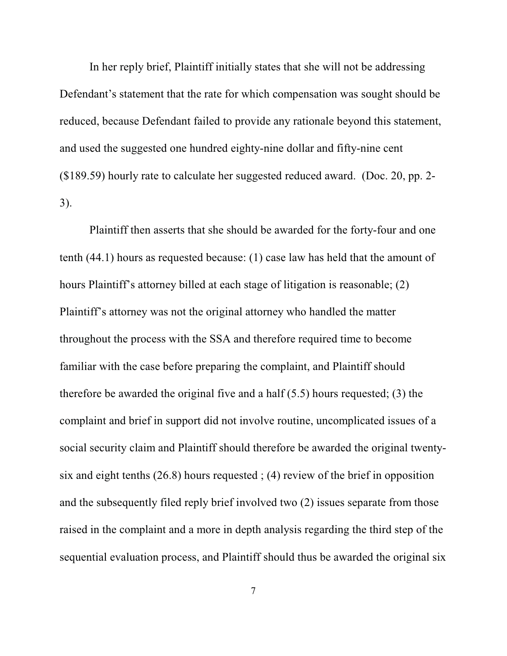In her reply brief, Plaintiff initially states that she will not be addressing Defendant's statement that the rate for which compensation was sought should be reduced, because Defendant failed to provide any rationale beyond this statement, and used the suggested one hundred eighty-nine dollar and fifty-nine cent (\$189.59) hourly rate to calculate her suggested reduced award. (Doc. 20, pp. 2- 3).

Plaintiff then asserts that she should be awarded for the forty-four and one tenth (44.1) hours as requested because: (1) case law has held that the amount of hours Plaintiff's attorney billed at each stage of litigation is reasonable; (2) Plaintiff's attorney was not the original attorney who handled the matter throughout the process with the SSA and therefore required time to become familiar with the case before preparing the complaint, and Plaintiff should therefore be awarded the original five and a half (5.5) hours requested; (3) the complaint and brief in support did not involve routine, uncomplicated issues of a social security claim and Plaintiff should therefore be awarded the original twentysix and eight tenths (26.8) hours requested ; (4) review of the brief in opposition and the subsequently filed reply brief involved two (2) issues separate from those raised in the complaint and a more in depth analysis regarding the third step of the sequential evaluation process, and Plaintiff should thus be awarded the original six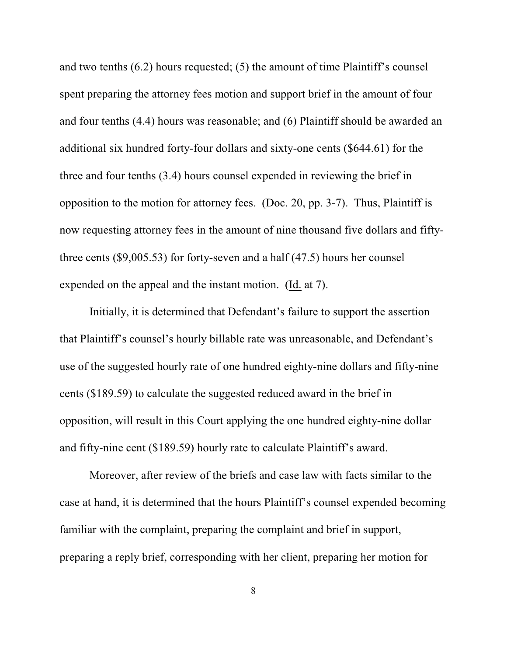and two tenths (6.2) hours requested; (5) the amount of time Plaintiff's counsel spent preparing the attorney fees motion and support brief in the amount of four and four tenths (4.4) hours was reasonable; and (6) Plaintiff should be awarded an additional six hundred forty-four dollars and sixty-one cents (\$644.61) for the three and four tenths (3.4) hours counsel expended in reviewing the brief in opposition to the motion for attorney fees. (Doc. 20, pp. 3-7). Thus, Plaintiff is now requesting attorney fees in the amount of nine thousand five dollars and fiftythree cents (\$9,005.53) for forty-seven and a half (47.5) hours her counsel expended on the appeal and the instant motion. (Id. at 7).

Initially, it is determined that Defendant's failure to support the assertion that Plaintiff's counsel's hourly billable rate was unreasonable, and Defendant's use of the suggested hourly rate of one hundred eighty-nine dollars and fifty-nine cents (\$189.59) to calculate the suggested reduced award in the brief in opposition, will result in this Court applying the one hundred eighty-nine dollar and fifty-nine cent (\$189.59) hourly rate to calculate Plaintiff's award.

Moreover, after review of the briefs and case law with facts similar to the case at hand, it is determined that the hours Plaintiff's counsel expended becoming familiar with the complaint, preparing the complaint and brief in support, preparing a reply brief, corresponding with her client, preparing her motion for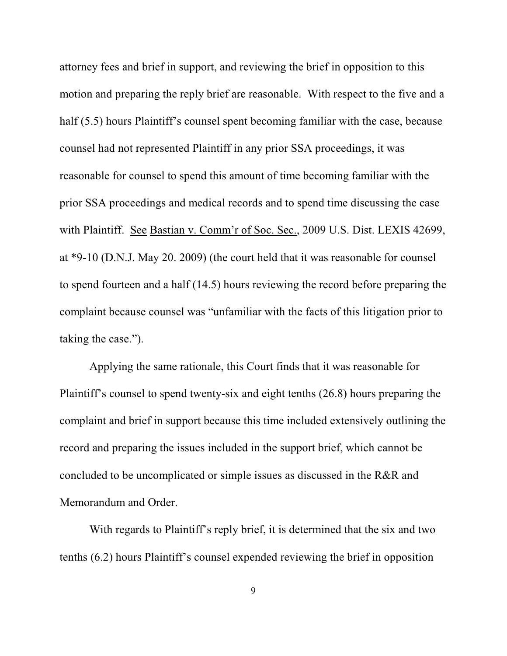attorney fees and brief in support, and reviewing the brief in opposition to this motion and preparing the reply brief are reasonable. With respect to the five and a half (5.5) hours Plaintiff's counsel spent becoming familiar with the case, because counsel had not represented Plaintiff in any prior SSA proceedings, it was reasonable for counsel to spend this amount of time becoming familiar with the prior SSA proceedings and medical records and to spend time discussing the case with Plaintiff. See Bastian v. Comm'r of Soc. Sec., 2009 U.S. Dist. LEXIS 42699, at \*9-10 (D.N.J. May 20. 2009) (the court held that it was reasonable for counsel to spend fourteen and a half (14.5) hours reviewing the record before preparing the complaint because counsel was "unfamiliar with the facts of this litigation prior to taking the case.").

Applying the same rationale, this Court finds that it was reasonable for Plaintiff's counsel to spend twenty-six and eight tenths (26.8) hours preparing the complaint and brief in support because this time included extensively outlining the record and preparing the issues included in the support brief, which cannot be concluded to be uncomplicated or simple issues as discussed in the R&R and Memorandum and Order.

With regards to Plaintiff's reply brief, it is determined that the six and two tenths (6.2) hours Plaintiff's counsel expended reviewing the brief in opposition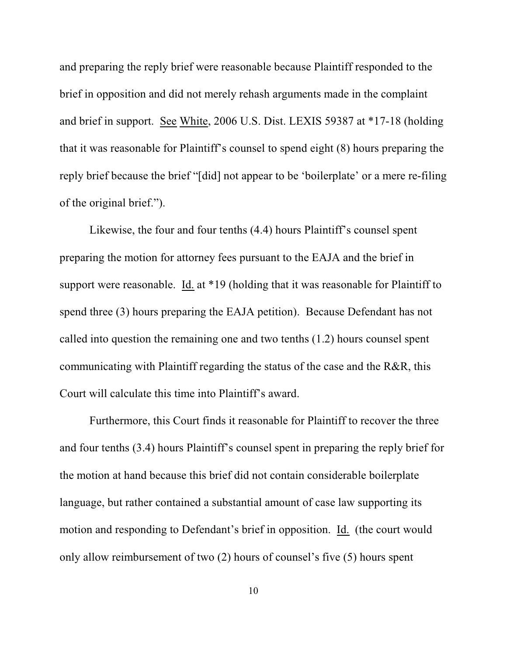and preparing the reply brief were reasonable because Plaintiff responded to the brief in opposition and did not merely rehash arguments made in the complaint and brief in support. See White, 2006 U.S. Dist. LEXIS 59387 at \*17-18 (holding that it was reasonable for Plaintiff's counsel to spend eight (8) hours preparing the reply brief because the brief "[did] not appear to be 'boilerplate' or a mere re-filing of the original brief.").

Likewise, the four and four tenths (4.4) hours Plaintiff's counsel spent preparing the motion for attorney fees pursuant to the EAJA and the brief in support were reasonable. Id. at \*19 (holding that it was reasonable for Plaintiff to spend three (3) hours preparing the EAJA petition). Because Defendant has not called into question the remaining one and two tenths (1.2) hours counsel spent communicating with Plaintiff regarding the status of the case and the R&R, this Court will calculate this time into Plaintiff's award.

Furthermore, this Court finds it reasonable for Plaintiff to recover the three and four tenths (3.4) hours Plaintiff's counsel spent in preparing the reply brief for the motion at hand because this brief did not contain considerable boilerplate language, but rather contained a substantial amount of case law supporting its motion and responding to Defendant's brief in opposition. Id. (the court would only allow reimbursement of two (2) hours of counsel's five (5) hours spent